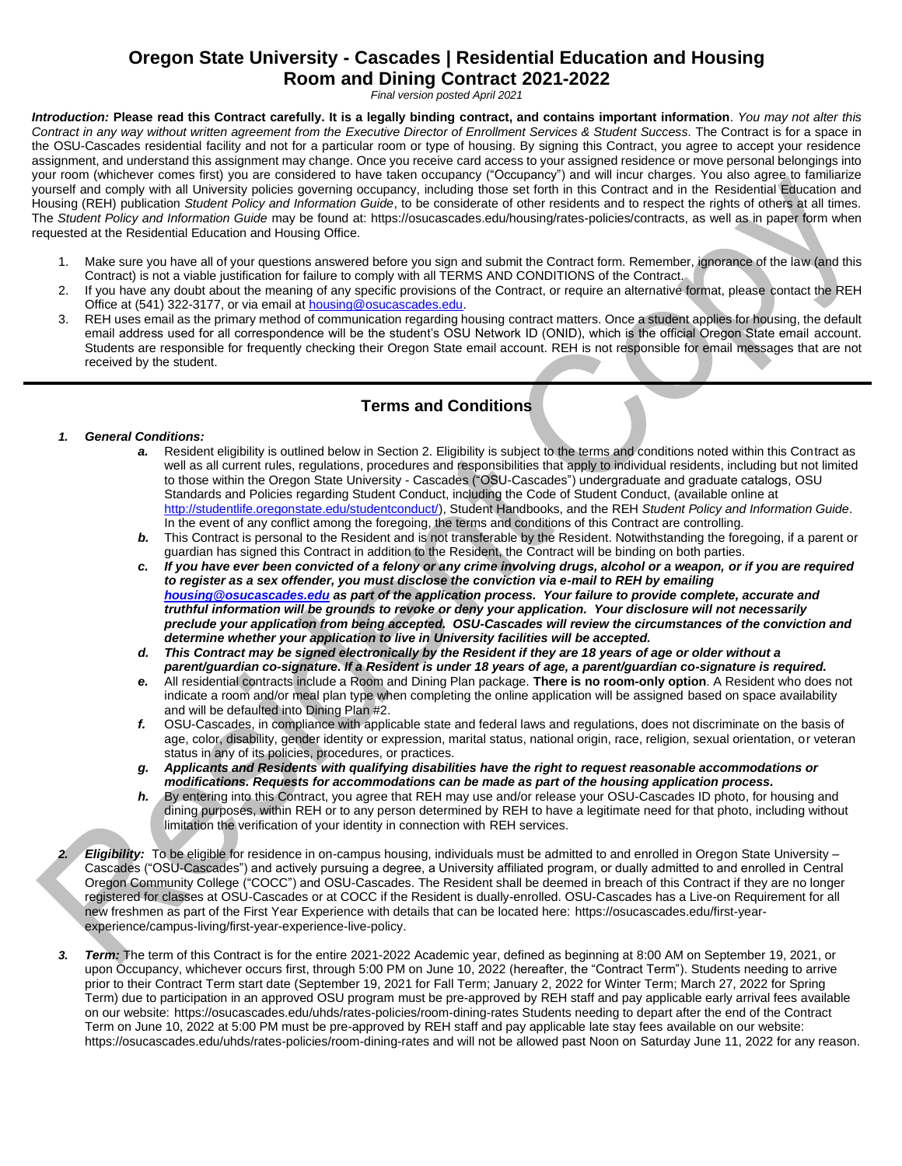# **Oregon State University - Cascades | Residential Education and Housing Room and Dining Contract 2021-2022**

*Final version posted April 2021*

*Introduction:* **Please read this Contract carefully. It is a legally binding contract, and contains important information**. *You may not alter this Contract in any way without written agreement from the Executive Director of Enrollment Services & Student Success.* The Contract is for a space in the OSU-Cascades residential facility and not for a particular room or type of housing. By signing this Contract, you agree to accept your residence assignment, and understand this assignment may change. Once you receive card access to your assigned residence or move personal belongings into your room (whichever comes first) you are considered to have taken occupancy ("Occupancy") and will incur charges. You also agree to familiarize yourself and comply with all University policies governing occupancy, including those set forth in this Contract and in the Residential Education and Housing (REH) publication *Student Policy and Information Guide*, to be considerate of other residents and to respect the rights of others at all times. The *Student Policy and Information Guide* may be found at[: https://osucascades.edu/housing/rates-policies/contracts,](https://osucascades.edu/housing/rates-policies/contracts) as well as in paper form when requested at the Residential Education and Housing Office.

- 1. Make sure you have all of your questions answered before you sign and submit the Contract form. Remember, ignorance of the law (and this Contract) is not a viable justification for failure to comply with all TERMS AND CONDITIONS of the Contract.
- 2. If you have any doubt about the meaning of any specific provisions of the Contract, or require an alternative format, please contact the REH Office at (541) 322-3177, or via email at **housing@osucascades.edu**.
- 3. REH uses email as the primary method of communication regarding housing contract matters. Once a student applies for housing, the default email address used for all correspondence will be the student's OSU Network ID (ONID), which is the official Oregon State email account. Students are responsible for frequently checking their Oregon State email account. REH is not responsible for email messages that are not received by the student.

# **Terms and Conditions**

#### *1. General Conditions:*

- *a.* Resident eligibility is outlined below in Section 2. Eligibility is subject to the terms and conditions noted within this Contract as well as all current rules, regulations, procedures and responsibilities that apply to individual residents, including but not limited to those within the Oregon State University - Cascades ("OSU-Cascades") undergraduate and graduate catalogs, OSU Standards and Policies regarding Student Conduct, including the Code of Student Conduct, (available online at [http://studentlife.oregonstate.edu/studentconduct/\)](http://studentlife.oregonstate.edu/studentconduct/), Student Handbooks, and the REH *Student Policy and Information Guide*. In the event of any conflict among the foregoing, the terms and conditions of this Contract are controlling.
- **b.** This Contract is personal to the Resident and is not transferable by the Resident. Notwithstanding the foregoing, if a parent or guardian has signed this Contract in addition to the Resident, the Contract will be binding on both parties.
- *c. If you have ever been convicted of a felony or any crime involving drugs, alcohol or a weapon, or if you are required to register as a sex offender, you must disclose the conviction via e-mail to REH by emailing [housing@osucascades.edu](mailto:housing@osucascades.edu) as part of the application process. Your failure to provide complete, accurate and truthful information will be grounds to revoke or deny your application. Your disclosure will not necessarily preclude your application from being accepted. OSU-Cascades will review the circumstances of the conviction and determine whether your application to live in University facilities will be accepted.*
- *d. This Contract may be signed electronically by the Resident if they are 18 years of age or older without a parent/guardian co-signature. If a Resident is under 18 years of age, a parent/guardian co-signature is required.*
- *e.* All residential contracts include a Room and Dining Plan package. **There is no room-only option**. A Resident who does not indicate a room and/or meal plan type when completing the online application will be assigned based on space availability and will be defaulted into Dining Plan #2.
- *f.* OSU-Cascades, in compliance with applicable state and federal laws and regulations, does not discriminate on the basis of age, color, disability, gender identity or expression, marital status, national origin, race, religion, sexual orientation, or veteran status in any of its policies, procedures, or practices.
- *g. Applicants and Residents with qualifying disabilities have the right to request reasonable accommodations or modifications. Requests for accommodations can be made as part of the housing application process.*
- *h.* By entering into this Contract, you agree that REH may use and/or release your OSU-Cascades ID photo, for housing and dining purposes, within REH or to any person determined by REH to have a legitimate need for that photo, including without limitation the verification of your identity in connection with REH services.

*2. Eligibility:* To be eligible for residence in on-campus housing, individuals must be admitted to and enrolled in Oregon State University – Cascades ("OSU-Cascades") and actively pursuing a degree, a University affiliated program, or dually admitted to and enrolled in Central Oregon Community College ("COCC") and OSU-Cascades. The Resident shall be deemed in breach of this Contract if they are no longer registered for classes at OSU-Cascades or at COCC if the Resident is dually-enrolled. OSU-Cascades has a Live-on Requirement for all new freshmen as part of the First Year Experience with details that can be located here: [https://osucascades.edu/first-year](https://osucascades.edu/first-year-experience/campus-living/first-year-experience-live-policy)[experience/campus-living/first-year-experience-live-policy.](https://osucascades.edu/first-year-experience/campus-living/first-year-experience-live-policy) 

*3. Term:* The term of this Contract is for the entire 2021-2022 Academic year, defined as beginning at 8:00 AM on September 19, 2021, or upon Occupancy, whichever occurs first, through 5:00 PM on June 10, 2022 (hereafter, the "Contract Term"). Students needing to arrive prior to their Contract Term start date (September 19, 2021 for Fall Term; January 2, 2022 for Winter Term; March 27, 2022 for Spring Term) due to participation in an approved OSU program must be pre-approved by REH staff and pay applicable early arrival fees available on our website: <https://osucascades.edu/uhds/rates-policies/room-dining-rates> Students needing to depart after the end of the Contract Term on June 10, 2022 at 5:00 PM must be pre-approved by REH staff and pay applicable late stay fees available on our website: <https://osucascades.edu/uhds/rates-policies/room-dining-rates> and will not be allowed past Noon on Saturday June 11, 2022 for any reason.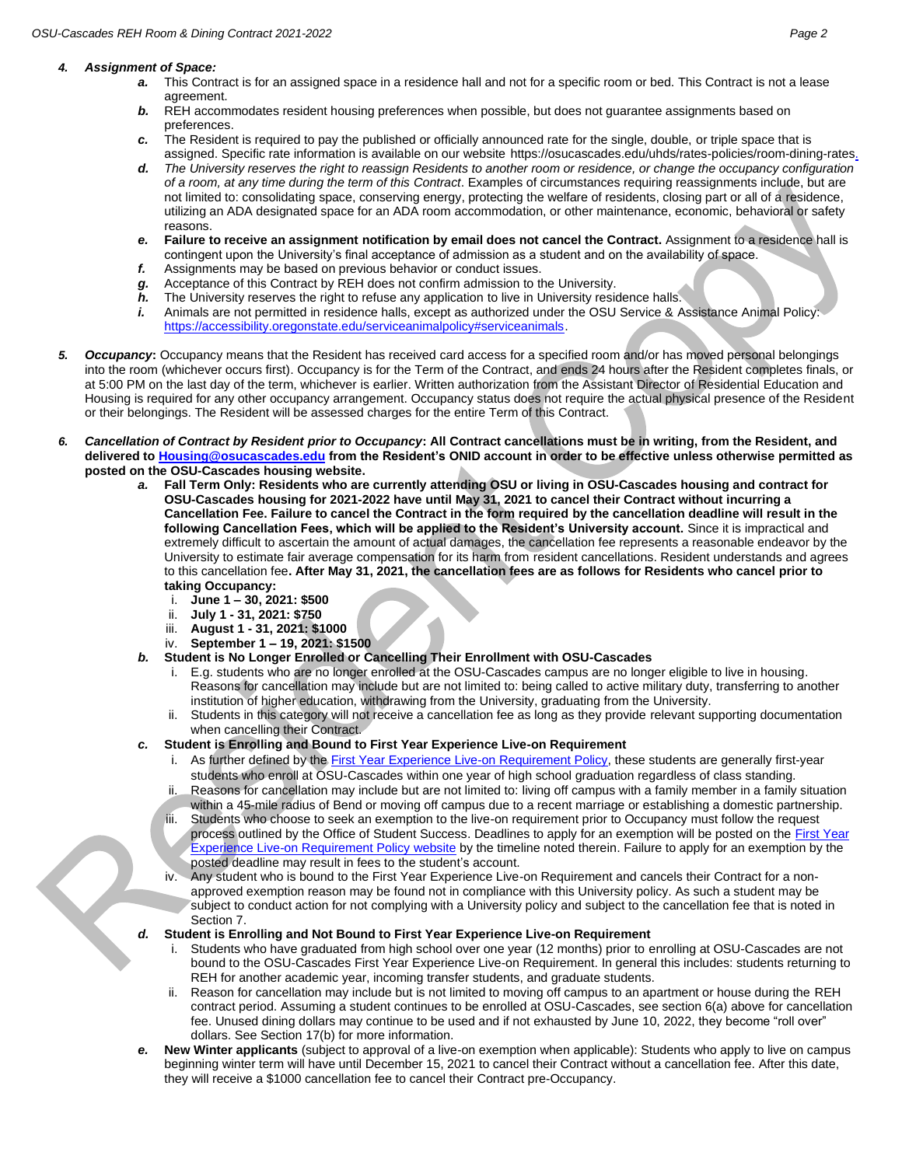#### *4. Assignment of Space:*

- *a.* This Contract is for an assigned space in a residence hall and not for a specific room or bed. This Contract is not a lease agreement.
- **b.** REH accommodates resident housing preferences when possible, but does not guarantee assignments based on preferences.
- *c.* The Resident is required to pay the published or officially announced rate for the single, double, or triple space that is assigned. Specific rate information is available on our website [https://osucascades.edu/uhds/rates-policies/room-dining-rates.](https://osucascades.edu/uhds/rates-policies/room-dining-rates)
- *d. The University reserves the right to reassign Residents to another room or residence, or change the occupancy configuration of a room, at any time during the term of this Contract*. Examples of circumstances requiring reassignments include, but are not limited to: consolidating space, conserving energy, protecting the welfare of residents, closing part or all of a residence, utilizing an ADA designated space for an ADA room accommodation, or other maintenance, economic, behavioral or safety reasons.
- *e.* **Failure to receive an assignment notification by email does not cancel the Contract.** Assignment to a residence hall is contingent upon the University's final acceptance of admission as a student and on the availability of space.
- *f.* Assignments may be based on previous behavior or conduct issues.
- *g.* Acceptance of this Contract by REH does not confirm admission to the University.
- *h.* The University reserves the right to refuse any application to live in University residence halls.
- *i.* Animals are not permitted in residence halls, except as authorized under the OSU Service & Assistance Animal Policy: [https://accessibility.oregonstate.edu/serviceanimalpolicy#serviceanimals.](https://accessibility.oregonstate.edu/serviceanimalpolicy#serviceanimals)
- *5. Occupancy***:** Occupancy means that the Resident has received card access for a specified room and/or has moved personal belongings into the room (whichever occurs first). Occupancy is for the Term of the Contract, and ends 24 hours after the Resident completes finals, or at 5:00 PM on the last day of the term, whichever is earlier. Written authorization from the Assistant Director of Residential Education and Housing is required for any other occupancy arrangement. Occupancy status does not require the actual physical presence of the Resident or their belongings. The Resident will be assessed charges for the entire Term of this Contract.
- *6. Cancellation of Contract by Resident prior to Occupancy***: All Contract cancellations must be in writing, from the Resident, and delivered t[o Housing@osucascades.edu](mailto:Housing@osucascades.edu) from the Resident's ONID account in order to be effective unless otherwise permitted as posted on the OSU-Cascades housing website.** 
	- *a.* **Fall Term Only: Residents who are currently attending OSU or living in OSU-Cascades housing and contract for OSU-Cascades housing for 2021-2022 have until May 31, 2021 to cancel their Contract without incurring a Cancellation Fee. Failure to cancel the Contract in the form required by the cancellation deadline will result in the following Cancellation Fees, which will be applied to the Resident's University account.** Since it is impractical and extremely difficult to ascertain the amount of actual damages, the cancellation fee represents a reasonable endeavor by the University to estimate fair average compensation for its harm from resident cancellations. Resident understands and agrees to this cancellation fee**. After May 31, 2021, the cancellation fees are as follows for Residents who cancel prior to taking Occupancy:**
		- i. **June 1 – 30, 2021: \$500**
		- ii. **July 1 - 31, 2021: \$750**
		- iii. **August 1 - 31, 2021: \$1000**
		- iv. **September 1 – 19, 2021: \$1500**
	- *b.* **Student is No Longer Enrolled or Cancelling Their Enrollment with OSU-Cascades**
		- i. E.g. students who are no longer enrolled at the OSU-Cascades campus are no longer eligible to live in housing. Reasons for cancellation may include but are not limited to: being called to active military duty, transferring to another institution of higher education, withdrawing from the University, graduating from the University.
		- ii. Students in this category will not receive a cancellation fee as long as they provide relevant supporting documentation when cancelling their Contract.
	- *c.* **Student is Enrolling and Bound to First Year Experience Live-on Requirement**
		- i. As further defined by th[e First Year Experience Live-on Requirement Policy,](https://osucascades.edu/first-year-experience/campus-living/first-year-experience-live-policy) these students are generally first-year students who enroll at OSU-Cascades within one year of high school graduation regardless of class standing.
		- ii. Reasons for cancellation may include but are not limited to: living off campus with a family member in a family situation within a 45-mile radius of Bend or moving off campus due to a recent marriage or establishing a domestic partnership.
		- Students who choose to seek an exemption to the live-on requirement prior to Occupancy must follow the request process outlined by the Office of Student Success. Deadlines to apply for an exemption will be posted on the First Year [Experience Live-on Requirement Policy](https://osucascades.edu/first-year-experience/campus-living/first-year-experience-live-policy) website by the timeline noted therein. Failure to apply for an exemption by the posted deadline may result in fees to the student's account.
		- iv. Any student who is bound to the First Year Experience Live-on Requirement and cancels their Contract for a nonapproved exemption reason may be found not in compliance with this University policy. As such a student may be subject to conduct action for not complying with a University policy and subject to the cancellation fee that is noted in Section 7.
	- *d.* **Student is Enrolling and Not Bound to First Year Experience Live-on Requirement**
		- i. Students who have graduated from high school over one year (12 months) prior to enrolling at OSU-Cascades are not bound to the OSU-Cascades First Year Experience Live-on Requirement. In general this includes: students returning to REH for another academic year, incoming transfer students, and graduate students.
		- ii. Reason for cancellation may include but is not limited to moving off campus to an apartment or house during the REH contract period. Assuming a student continues to be enrolled at OSU-Cascades, see section 6(a) above for cancellation fee. Unused dining dollars may continue to be used and if not exhausted by June 10, 2022, they become "roll over" dollars. See Section 17(b) for more information.
	- *e.* **New Winter applicants** (subject to approval of a live-on exemption when applicable): Students who apply to live on campus beginning winter term will have until December 15, 2021 to cancel their Contract without a cancellation fee. After this date, they will receive a \$1000 cancellation fee to cancel their Contract pre-Occupancy.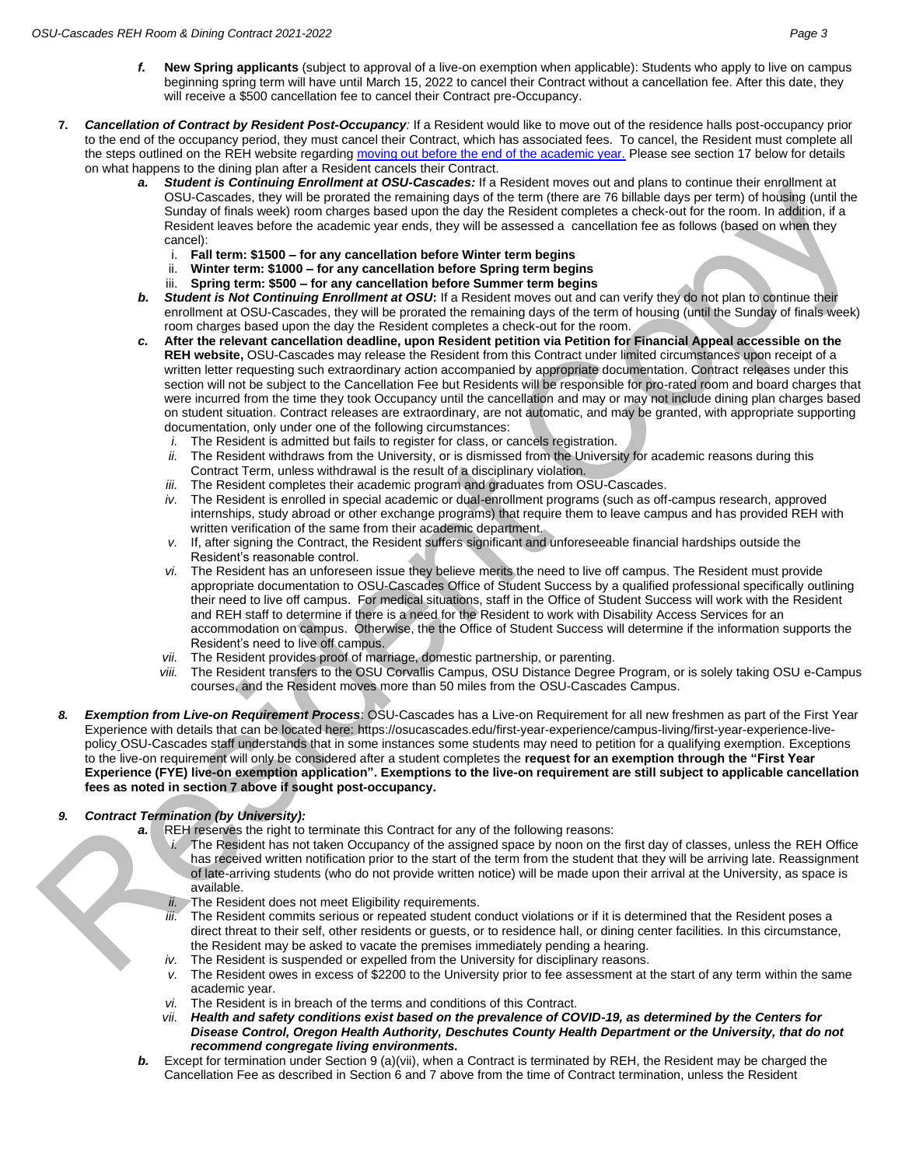- *f.* **New Spring applicants** (subject to approval of a live-on exemption when applicable): Students who apply to live on campus beginning spring term will have until March 15, 2022 to cancel their Contract without a cancellation fee. After this date, they will receive a \$500 cancellation fee to cancel their Contract pre-Occupancy.
- **7.** *Cancellation of Contract by Resident Post-Occupancy:* If a Resident would like to move out of the residence halls post-occupancy prior to the end of the occupancy period, they must cancel their Contract, which has associated fees. To cancel, the Resident must complete all the steps outlined on the REH website regardin[g moving out before the end of the academic year.](https://osucascades.edu/uhds/rates-policies/moving-out) Please see section 17 below for details on what happens to the dining plan after a Resident cancels their Contract.
	- *a. Student is Continuing Enrollment at OSU-Cascades:* If a Resident moves out and plans to continue their enrollment at OSU-Cascades, they will be prorated the remaining days of the term (there are 76 billable days per term) of housing (until the Sunday of finals week) room charges based upon the day the Resident completes a check-out for the room. In addition, if a Resident leaves before the academic year ends, they will be assessed a cancellation fee as follows (based on when they cancel):
		- i. **Fall term: \$1500 – for any cancellation before Winter term begins**
		- ii. **Winter term: \$1000 – for any cancellation before Spring term begins**
		- iii. **Spring term: \$500 – for any cancellation before Summer term begins**
	- **b.** Student is Not Continuing Enrollment at OSU: If a Resident moves out and can verify they do not plan to continue their enrollment at OSU-Cascades, they will be prorated the remaining days of the term of housing (until the Sunday of finals week) room charges based upon the day the Resident completes a check-out for the room.
	- *c.* **After the relevant cancellation deadline, upon Resident petition via Petition for Financial Appeal accessible on the REH website,** OSU-Cascades may release the Resident from this Contract under limited circumstances upon receipt of a written letter requesting such extraordinary action accompanied by appropriate documentation. Contract releases under this section will not be subject to the Cancellation Fee but Residents will be responsible for pro-rated room and board charges that were incurred from the time they took Occupancy until the cancellation and may or may not include dining plan charges based on student situation. Contract releases are extraordinary, are not automatic, and may be granted, with appropriate supporting documentation, only under one of the following circumstances:
		- *i.* The Resident is admitted but fails to register for class, or cancels registration.
		- *ii.* The Resident withdraws from the University, or is dismissed from the University for academic reasons during this Contract Term, unless withdrawal is the result of a disciplinary violation.
		- *iii.* The Resident completes their academic program and graduates from OSU-Cascades.
		- *iv.* The Resident is enrolled in special academic or dual-enrollment programs (such as off-campus research, approved internships, study abroad or other exchange programs) that require them to leave campus and has provided REH with written verification of the same from their academic department.
		- *v.* If, after signing the Contract, the Resident suffers significant and unforeseeable financial hardships outside the Resident's reasonable control.
		- *vi.* The Resident has an unforeseen issue they believe merits the need to live off campus. The Resident must provide appropriate documentation to OSU-Cascades Office of Student Success by a qualified professional specifically outlining their need to live off campus. For medical situations, staff in the Office of Student Success will work with the Resident and REH staff to determine if there is a need for the Resident to work with Disability Access Services for an accommodation on campus. Otherwise, the the Office of Student Success will determine if the information supports the Resident's need to live off campus.
		- *vii.* The Resident provides proof of marriage, domestic partnership, or parenting.
		- *viii.* The Resident transfers to the OSU Corvallis Campus, OSU Distance Degree Program, or is solely taking OSU e-Campus courses, and the Resident moves more than 50 miles from the OSU-Cascades Campus.
- *8. Exemption from Live-on Requirement Process*: OSU-Cascades has a Live-on Requirement for all new freshmen as part of the First Year Experience with details that can be located here: [https://osucascades.edu/first-year-experience/campus-living/first-year-experience-live](https://osucascades.edu/first-year-experience/campus-living/first-year-experience-live-policy)[policy](https://osucascades.edu/first-year-experience/campus-living/first-year-experience-live-policy) OSU-Cascades staff understands that in some instances some students may need to petition for a qualifying exemption. Exceptions to the live-on requirement will only be considered after a student completes the **request for an exemption through the "First Year Experience (FYE) live-on exemption application". Exemptions to the live-on requirement are still subject to applicable cancellation fees as noted in section 7 above if sought post-occupancy.**

# *9. Contract Termination (by University):*

- *a.* REH reserves the right to terminate this Contract for any of the following reasons:
	- *i.* The Resident has not taken Occupancy of the assigned space by noon on the first day of classes, unless the REH Office has received written notification prior to the start of the term from the student that they will be arriving late. Reassignment of late-arriving students (who do not provide written notice) will be made upon their arrival at the University, as space is available.
	- *ii.* The Resident does not meet Eligibility requirements.
	- *iii.* The Resident commits serious or repeated student conduct violations or if it is determined that the Resident poses a direct threat to their self, other residents or guests, or to residence hall, or dining center facilities. In this circumstance, the Resident may be asked to vacate the premises immediately pending a hearing.
	- *iv.* The Resident is suspended or expelled from the University for disciplinary reasons.
	- *v.* The Resident owes in excess of \$2200 to the University prior to fee assessment at the start of any term within the same academic year.
	- *vi.* The Resident is in breach of the terms and conditions of this Contract.
	- *vii. Health and safety conditions exist based on the prevalence of COVID-19, as determined by the Centers for Disease Control, Oregon Health Authority, Deschutes County Health Department or the University, that do not recommend congregate living environments.*
- **b.** Except for termination under Section 9 (a)(vii), when a Contract is terminated by REH, the Resident may be charged the Cancellation Fee as described in Section 6 and 7 above from the time of Contract termination, unless the Resident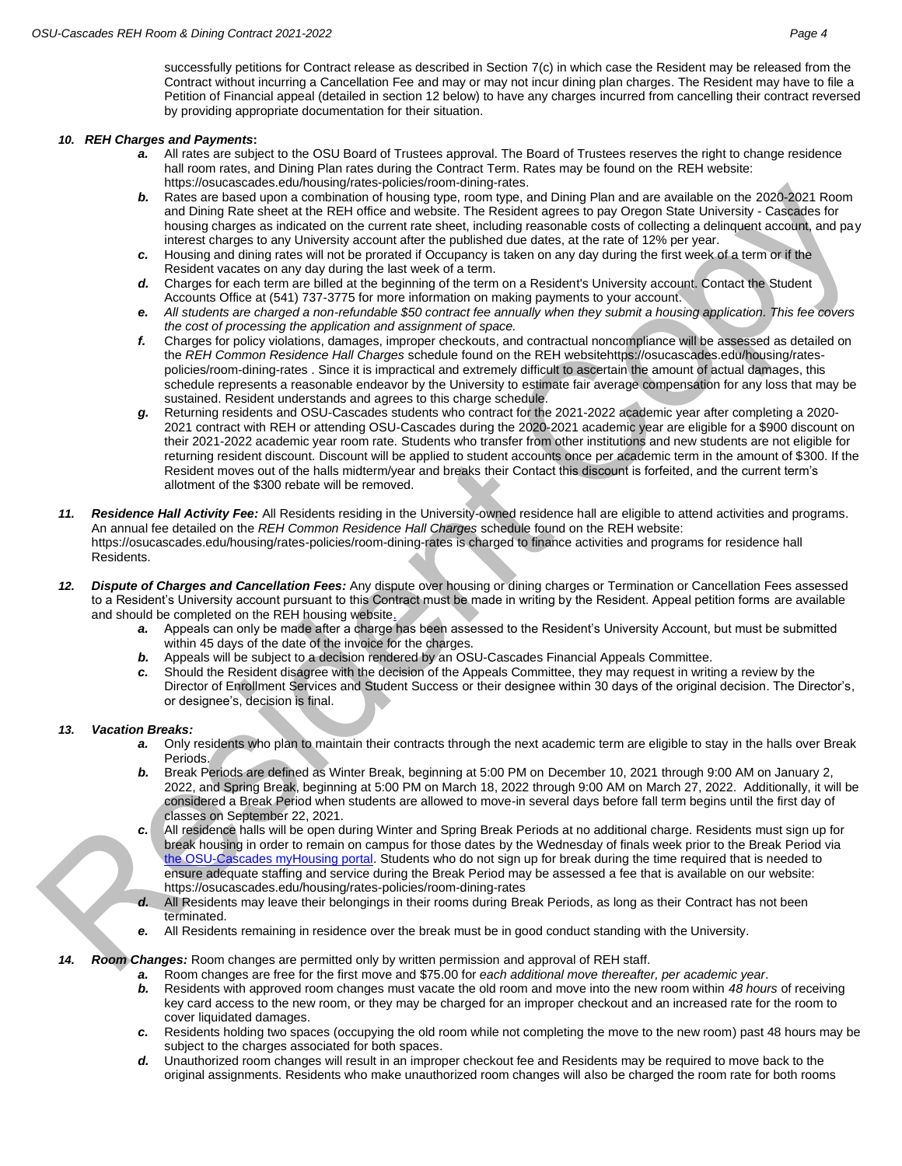successfully petitions for Contract release as described in Section 7(c) in which case the Resident may be released from the Contract without incurring a Cancellation Fee and may or may not incur dining plan charges. The Resident may have to file a Petition of Financial appeal (detailed in section 12 below) to have any charges incurred from cancelling their contract reversed by providing appropriate documentation for their situation.

#### *10. REH Charges and Payments***:**

- *a.* All rates are subject to the OSU Board of Trustees approval. The Board of Trustees reserves the right to change residence hall room rates, and Dining Plan rates during the Contract Term. Rates may be found on the REH website: [https://osucascades.edu/housing/rates-policies/room-dining-rates.](https://osucascades.edu/housing/rates-policies/room-dining-rates)
- *b.* Rates are based upon a combination of housing type, room type, and Dining Plan and are available on the 2020-2021 Room and Dining Rate sheet at the REH office and website. The Resident agrees to pay Oregon State University - Cascades for housing charges as indicated on the current rate sheet, including reasonable costs of collecting a delinquent account, and pay interest charges to any University account after the published due dates, at the rate of 12% per year.
- *c.* Housing and dining rates will not be prorated if Occupancy is taken on any day during the first week of a term or if the Resident vacates on any day during the last week of a term.
- *d.* Charges for each term are billed at the beginning of the term on a Resident's University account. Contact the Student Accounts Office at (541) 737-3775 for more information on making payments to your account.
- *e. All students are charged a non-refundable \$50 contract fee annually when they submit a housing application. This fee covers the cost of processing the application and assignment of space.*
- *f.* Charges for policy violations, damages, improper checkouts, and contractual noncompliance will be assessed as detailed on the *REH Common Residence Hall Charges* schedule found on the REH websit[ehttps://osucascades.edu/housing/rates](https://osucascades.edu/housing/rates-policies/room-dining-rates)[policies/room-dining-rates](https://osucascades.edu/housing/rates-policies/room-dining-rates) . Since it is impractical and extremely difficult to ascertain the amount of actual damages, this schedule represents a reasonable endeavor by the University to estimate fair average compensation for any loss that may be sustained. Resident understands and agrees to this charge schedule.
- *g.* Returning residents and OSU-Cascades students who contract for the 2021-2022 academic year after completing a 2020- 2021 contract with REH or attending OSU-Cascades during the 2020-2021 academic year are eligible for a \$900 discount on their 2021-2022 academic year room rate. Students who transfer from other institutions and new students are not eligible for returning resident discount. Discount will be applied to student accounts once per academic term in the amount of \$300. If the Resident moves out of the halls midterm/year and breaks their Contact this discount is forfeited, and the current term's allotment of the \$300 rebate will be removed.
- *11. Residence Hall Activity Fee:* All Residents residing in the University-owned residence hall are eligible to attend activities and programs. An annual fee detailed on the *REH Common Residence Hall Charges* schedule found on the REH website: <https://osucascades.edu/housing/rates-policies/room-dining-rates> is charged to finance activities and programs for residence hall Residents.
- *12. Dispute of Charges and Cancellation Fees:* Any dispute over housing or dining charges or Termination or Cancellation Fees assessed to a Resident's University account pursuant to this Contract must be made in writing by the Resident. Appeal petition forms are available and should be completed on the REH housing website.
	- *a.* Appeals can only be made after a charge has been assessed to the Resident's University Account, but must be submitted within 45 days of the date of the invoice for the charges.
	- **b.** Appeals will be subject to a decision rendered by an OSU-Cascades Financial Appeals Committee.
	- *c.* Should the Resident disagree with the decision of the Appeals Committee, they may request in writing a review by the Director of Enrollment Services and Student Success or their designee within 30 days of the original decision. The Director's, or designee's, decision is final.

### *13. Vacation Breaks:*

- *a.* Only residents who plan to maintain their contracts through the next academic term are eligible to stay in the halls over Break Periods.
- *b.* Break Periods are defined as Winter Break, beginning at 5:00 PM on December 10, 2021 through 9:00 AM on January 2, 2022, and Spring Break, beginning at 5:00 PM on March 18, 2022 through 9:00 AM on March 27, 2022. Additionally, it will be considered a Break Period when students are allowed to move-in several days before fall term begins until the first day of classes on September 22, 2021.
- *c.* All residence halls will be open during Winter and Spring Break Periods at no additional charge. Residents must sign up for break housing in order to remain on campus for those dates by the Wednesday of finals week prior to the Break Period via the OSU-Cascades myHousing portal. Students who do not sign up for break during the time required that is needed to ensure adequate staffing and service during the Break Period may be assessed a fee that is available on our website: <https://osucascades.edu/housing/rates-policies/room-dining-rates>
- *d.* All Residents may leave their belongings in their rooms during Break Periods, as long as their Contract has not been terminated.
- *e.* All Residents remaining in residence over the break must be in good conduct standing with the University.

### *14. Room Changes:* Room changes are permitted only by written permission and approval of REH staff.

- *a.* Room changes are free for the first move and \$75.00 for *each additional move thereafter, per academic year*.
- *b.* Residents with approved room changes must vacate the old room and move into the new room within *48 hours* of receiving key card access to the new room, or they may be charged for an improper checkout and an increased rate for the room to cover liquidated damages.
- *c.* Residents holding two spaces (occupying the old room while not completing the move to the new room) past 48 hours may be subject to the charges associated for both spaces.
- *d.* Unauthorized room changes will result in an improper checkout fee and Residents may be required to move back to the original assignments. Residents who make unauthorized room changes will also be charged the room rate for both rooms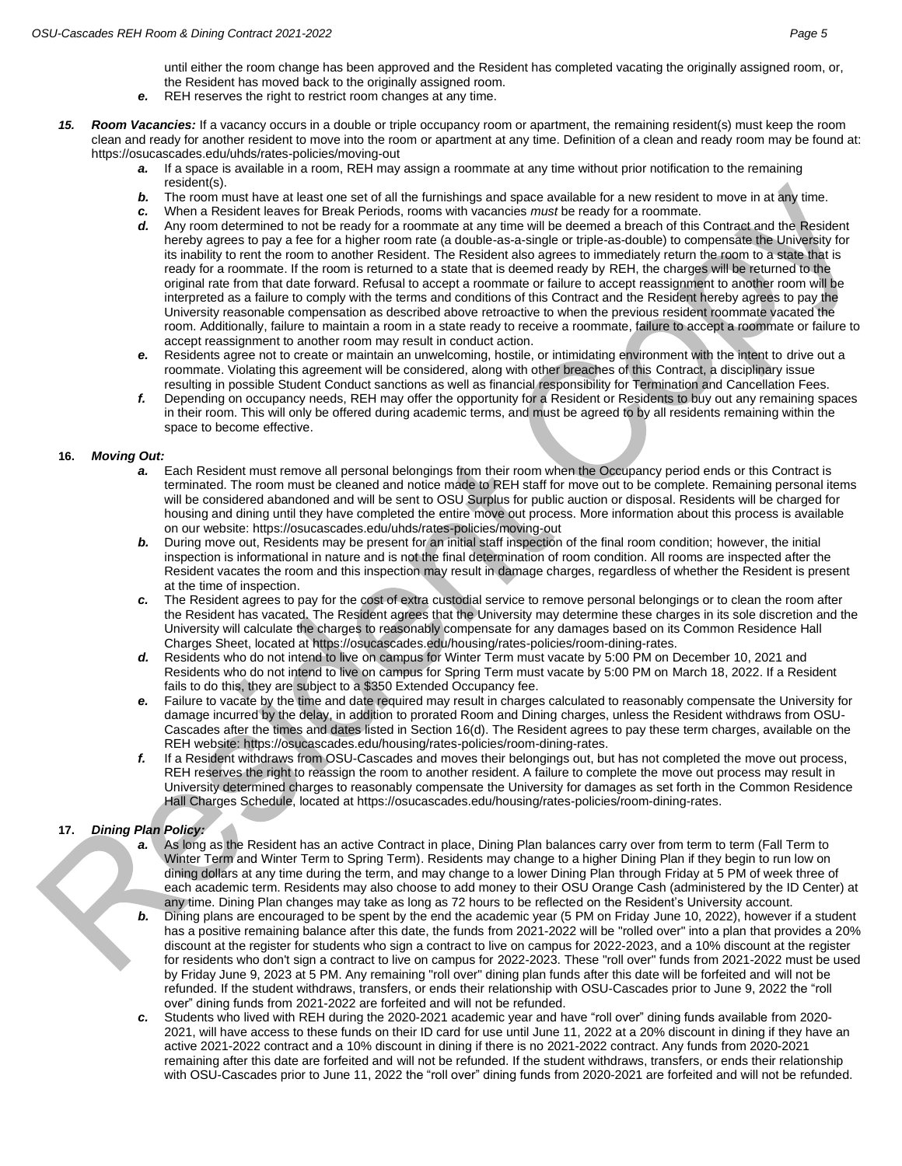until either the room change has been approved and the Resident has completed vacating the originally assigned room, or, the Resident has moved back to the originally assigned room.

- *e.* REH reserves the right to restrict room changes at any time.
- *15. Room Vacancies:* If a vacancy occurs in a double or triple occupancy room or apartment, the remaining resident(s) must keep the room clean and ready for another resident to move into the room or apartment at any time. Definition of a clean and ready room may be found at: <https://osucascades.edu/uhds/rates-policies/moving-out>
	- *a.* If a space is available in a room, REH may assign a roommate at any time without prior notification to the remaining resident(s).
	- **b.** The room must have at least one set of all the furnishings and space available for a new resident to move in at any time.
	- *c.* When a Resident leaves for Break Periods, rooms with vacancies *must* be ready for a roommate.
	- *d.* Any room determined to not be ready for a roommate at any time will be deemed a breach of this Contract and the Resident hereby agrees to pay a fee for a higher room rate (a double-as-a-single or triple-as-double) to compensate the University for its inability to rent the room to another Resident. The Resident also agrees to immediately return the room to a state that is ready for a roommate. If the room is returned to a state that is deemed ready by REH, the charges will be returned to the original rate from that date forward. Refusal to accept a roommate or failure to accept reassignment to another room will be interpreted as a failure to comply with the terms and conditions of this Contract and the Resident hereby agrees to pay the University reasonable compensation as described above retroactive to when the previous resident roommate vacated the room. Additionally, failure to maintain a room in a state ready to receive a roommate, failure to accept a roommate or failure to accept reassignment to another room may result in conduct action.
	- *e.* Residents agree not to create or maintain an unwelcoming, hostile, or intimidating environment with the intent to drive out a roommate. Violating this agreement will be considered, along with other breaches of this Contract, a disciplinary issue resulting in possible Student Conduct sanctions as well as financial responsibility for Termination and Cancellation Fees.
	- *f.* Depending on occupancy needs, REH may offer the opportunity for a Resident or Residents to buy out any remaining spaces in their room. This will only be offered during academic terms, and must be agreed to by all residents remaining within the space to become effective.

#### **16.** *Moving Out:*

- *a.* Each Resident must remove all personal belongings from their room when the Occupancy period ends or this Contract is terminated. The room must be cleaned and notice made to REH staff for move out to be complete. Remaining personal items will be considered abandoned and will be sent to OSU Surplus for public auction or disposal. Residents will be charged for housing and dining until they have completed the entire move out process. More information about this process is available on our website[: https://osucascades.edu/uhds/rates-policies/moving-out](https://osucascades.edu/uhds/rates-policies/moving-out)
- **b.** During move out, Residents may be present for an initial staff inspection of the final room condition; however, the initial inspection is informational in nature and is not the final determination of room condition. All rooms are inspected after the Resident vacates the room and this inspection may result in damage charges, regardless of whether the Resident is present at the time of inspection.
- *c.* The Resident agrees to pay for the cost of extra custodial service to remove personal belongings or to clean the room after the Resident has vacated. The Resident agrees that the University may determine these charges in its sole discretion and the University will calculate the charges to reasonably compensate for any damages based on its Common Residence Hall Charges Sheet, located at [https://osucascades.edu/housing/rates-policies/room-dining-rates.](https://osucascades.edu/housing/rates-policies/room-dining-rates)
- *d.* Residents who do not intend to live on campus for Winter Term must vacate by 5:00 PM on December 10, 2021 and Residents who do not intend to live on campus for Spring Term must vacate by 5:00 PM on March 18, 2022. If a Resident fails to do this, they are subject to a \$350 Extended Occupancy fee.
- *e.* Failure to vacate by the time and date required may result in charges calculated to reasonably compensate the University for damage incurred by the delay, in addition to prorated Room and Dining charges, unless the Resident withdraws from OSU-Cascades after the times and dates listed in Section 16(d). The Resident agrees to pay these term charges, available on the REH website[: https://osucascades.edu/housing/rates-policies/room-dining-rates.](https://osucascades.edu/housing/rates-policies/room-dining-rates)
- *f.* If a Resident withdraws from OSU-Cascades and moves their belongings out, but has not completed the move out process, REH reserves the right to reassign the room to another resident. A failure to complete the move out process may result in University determined charges to reasonably compensate the University for damages as set forth in the Common Residence Hall Charges Schedule, located a[t https://osucascades.edu/housing/rates-policies/room-dining-rates.](https://osucascades.edu/housing/rates-policies/room-dining-rates)

### **17.** *Dining Plan Policy:*

- *a.* As long as the Resident has an active Contract in place, Dining Plan balances carry over from term to term (Fall Term to Winter Term and Winter Term to Spring Term). Residents may change to a higher Dining Plan if they begin to run low on dining dollars at any time during the term, and may change to a lower Dining Plan through Friday at 5 PM of week three of each academic term. Residents may also choose to add money to their OSU Orange Cash (administered by the ID Center) at any time. Dining Plan changes may take as long as 72 hours to be reflected on the Resident's University account.
- *b.* Dining plans are encouraged to be spent by the end the academic year (5 PM on Friday June 10, 2022), however if a student has a positive remaining balance after this date, the funds from 2021-2022 will be "rolled over" into a plan that provides a 20% discount at the register for students who sign a contract to live on campus for 2022-2023, and a 10% discount at the register for residents who don't sign a contract to live on campus for 2022-2023. These "roll over" funds from 2021-2022 must be used by Friday June 9, 2023 at 5 PM. Any remaining "roll over" dining plan funds after this date will be forfeited and will not be refunded. If the student withdraws, transfers, or ends their relationship with OSU-Cascades prior to June 9, 2022 the "roll over" dining funds from 2021-2022 are forfeited and will not be refunded.
- *c.* Students who lived with REH during the 2020-2021 academic year and have "roll over" dining funds available from 2020- 2021, will have access to these funds on their ID card for use until June 11, 2022 at a 20% discount in dining if they have an active 2021-2022 contract and a 10% discount in dining if there is no 2021-2022 contract. Any funds from 2020-2021 remaining after this date are forfeited and will not be refunded. If the student withdraws, transfers, or ends their relationship with OSU-Cascades prior to June 11, 2022 the "roll over" dining funds from 2020-2021 are forfeited and will not be refunded.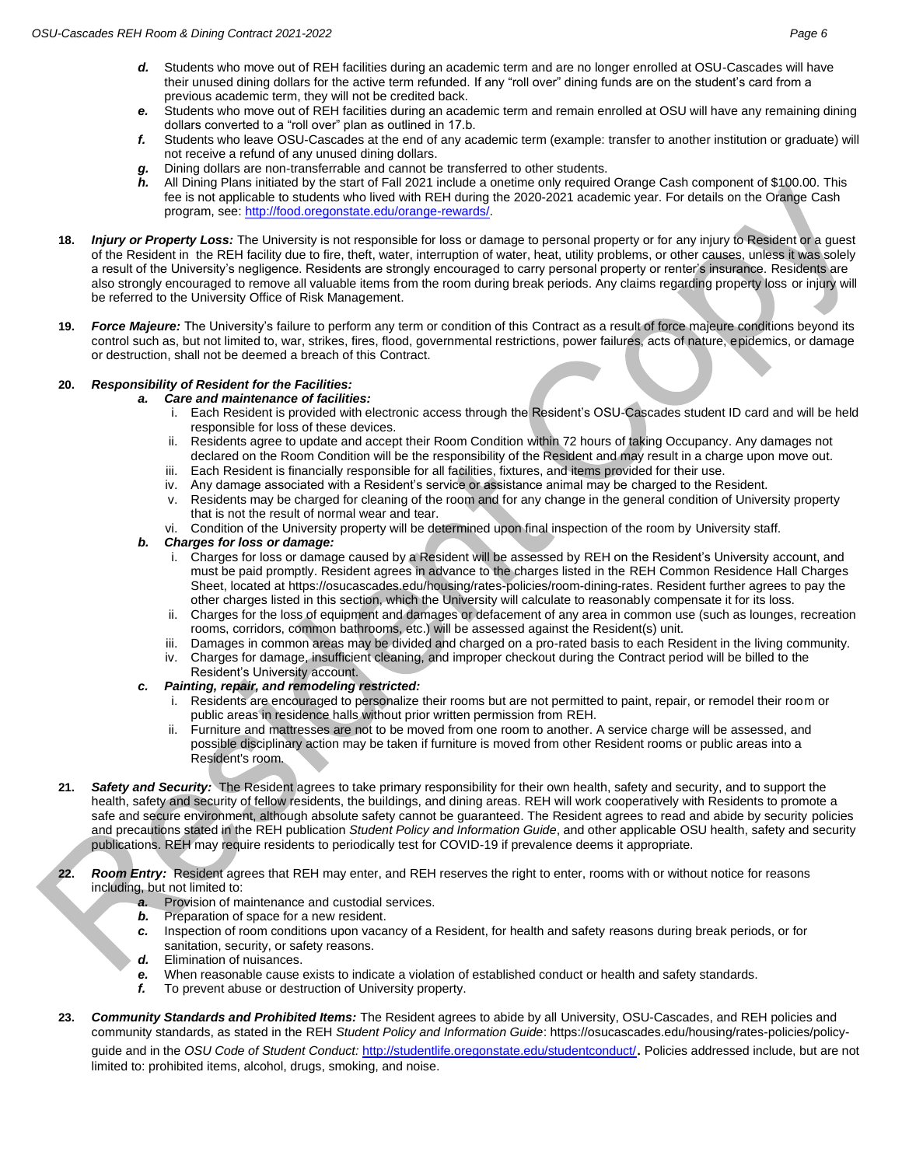- *d.* Students who move out of REH facilities during an academic term and are no longer enrolled at OSU-Cascades will have their unused dining dollars for the active term refunded. If any "roll over" dining funds are on the student's card from a previous academic term, they will not be credited back.
- *e.* Students who move out of REH facilities during an academic term and remain enrolled at OSU will have any remaining dining dollars converted to a "roll over" plan as outlined in 17.b.
- *f.* Students who leave OSU-Cascades at the end of any academic term (example: transfer to another institution or graduate) will not receive a refund of any unused dining dollars.
- Dining dollars are non-transferrable and cannot be transferred to other students.
- *h.* All Dining Plans initiated by the start of Fall 2021 include a onetime only required Orange Cash component of \$100.00. This fee is not applicable to students who lived with REH during the 2020-2021 academic year. For details on the Orange Cash program, see[: http://food.oregonstate.edu/orange-rewards/.](http://oregonstate.edu/orangerewards/)
- **18.** *Injury or Property Loss:* The University is not responsible for loss or damage to personal property or for any injury to Resident or a guest of the Resident in the REH facility due to fire, theft, water, interruption of water, heat, utility problems, or other causes, unless it was solely a result of the University's negligence. Residents are strongly encouraged to carry personal property or renter's insurance. Residents are also strongly encouraged to remove all valuable items from the room during break periods. Any claims regarding property loss or injury will be referred to the University Office of Risk Management.
- **19.** *Force Majeure:* The University's failure to perform any term or condition of this Contract as a result of force majeure conditions beyond its control such as, but not limited to, war, strikes, fires, flood, governmental restrictions, power failures, acts of nature, epidemics, or damage or destruction, shall not be deemed a breach of this Contract.

### **20.** *Responsibility of Resident for the Facilities:*

- *a. Care and maintenance of facilities:*
	- i. Each Resident is provided with electronic access through the Resident's OSU-Cascades student ID card and will be held responsible for loss of these devices.
	- ii. Residents agree to update and accept their Room Condition within 72 hours of taking Occupancy. Any damages not declared on the Room Condition will be the responsibility of the Resident and may result in a charge upon move out.
	- iii. Each Resident is financially responsible for all facilities, fixtures, and items provided for their use.
	- iv. Any damage associated with a Resident's service or assistance animal may be charged to the Resident.
	- v. Residents may be charged for cleaning of the room and for any change in the general condition of University property that is not the result of normal wear and tear.
	- vi. Condition of the University property will be determined upon final inspection of the room by University staff.

## *b. Charges for loss or damage:*

- i. Charges for loss or damage caused by a Resident will be assessed by REH on the Resident's University account, and must be paid promptly. Resident agrees in advance to the charges listed in the REH Common Residence Hall Charges Sheet, located at [https://osucascades.edu/housing/rates-policies/room-dining-rates.](https://osucascades.edu/housing/rates-policies/room-dining-rates) Resident further agrees to pay the other charges listed in this section, which the University will calculate to reasonably compensate it for its loss.
- ii. Charges for the loss of equipment and damages or defacement of any area in common use (such as lounges, recreation rooms, corridors, common bathrooms, etc.) will be assessed against the Resident(s) unit.
- iii. Damages in common areas may be divided and charged on a pro-rated basis to each Resident in the living community.
- iv. Charges for damage, insufficient cleaning, and improper checkout during the Contract period will be billed to the Resident's University account.
- *c. Painting, repair, and remodeling restricted:*
	- i. Residents are encouraged to personalize their rooms but are not permitted to paint, repair, or remodel their room or public areas in residence halls without prior written permission from REH.
	- ii. Furniture and mattresses are not to be moved from one room to another. A service charge will be assessed, and possible disciplinary action may be taken if furniture is moved from other Resident rooms or public areas into a Resident's room.
- **21.** *Safety and Security:* The Resident agrees to take primary responsibility for their own health, safety and security, and to support the health, safety and security of fellow residents, the buildings, and dining areas. REH will work cooperatively with Residents to promote a safe and secure environment, although absolute safety cannot be guaranteed. The Resident agrees to read and abide by security policies and precautions stated in the REH publication *Student Policy and Information Guide*, and other applicable OSU health, safety and security publications. REH may require residents to periodically test for COVID-19 if prevalence deems it appropriate.
- **22.** *Room Entry:* Resident agrees that REH may enter, and REH reserves the right to enter, rooms with or without notice for reasons including, but not limited to:
	- **Provision of maintenance and custodial services.**
	- *b.* Preparation of space for a new resident.
	- *c.* Inspection of room conditions upon vacancy of a Resident, for health and safety reasons during break periods, or for sanitation, security, or safety reasons.
	- *d.* Elimination of nuisances.
	- *e.* When reasonable cause exists to indicate a violation of established conduct or health and safety standards.
	- *f.* To prevent abuse or destruction of University property.
- **23.** *Community Standards and Prohibited Items:* The Resident agrees to abide by all University, OSU-Cascades, and REH policies and community standards, as stated in the REH *Student Policy and Information Guide*: [https://osucascades.edu/housing/rates-policies/policy](https://osucascades.edu/housing/rates-policies/policy-guide)[guide](https://osucascades.edu/housing/rates-policies/policy-guide) and in the *OSU Code of Student Conduct:* <http://studentlife.oregonstate.edu/studentconduct/>. Policies addressed include, but are not limited to: prohibited items, alcohol, drugs, smoking, and noise.